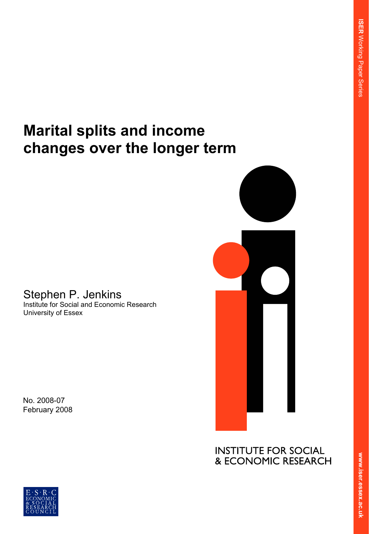# **Marital splits and income changes over the longer term**

# Stephen P. Jenkins Institute for Social and Economic Research University of Essex

No. 2008-07 February 2008



**INSTITUTE FOR SOCIAL** & ECONOMIC RESEARCH

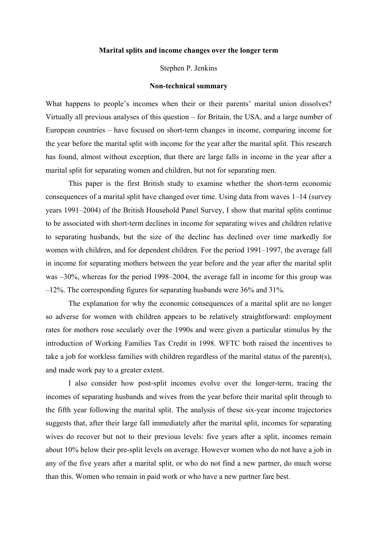#### **Marital splits and income changes over the longer term**

Stephen P. Jenkins

#### **Non-technical summary**

What happens to people's incomes when their or their parents' marital union dissolves? Virtually all previous analyses of this question – for Britain, the USA, and a large number of European countries – have focused on short-term changes in income, comparing income for the year before the marital split with income for the year after the marital split. This research has found, almost without exception, that there are large falls in income in the year after a marital split for separating women and children, but not for separating men.

 This paper is the first British study to examine whether the short-term economic consequences of a marital split have changed over time. Using data from waves 1–14 (survey years 1991–2004) of the British Household Panel Survey, I show that marital splits continue to be associated with short-term declines in income for separating wives and children relative to separating husbands, but the size of the decline has declined over time markedly for women with children, and for dependent children. For the period 1991–1997, the average fall in income for separating mothers between the year before and the year after the marital split was –30%, whereas for the period 1998–2004, the average fall in income for this group was –12%. The corresponding figures for separating husbands were 36% and 31%.

 The explanation for why the economic consequences of a marital split are no longer so adverse for women with children appears to be relatively straightforward: employment rates for mothers rose secularly over the 1990s and were given a particular stimulus by the introduction of Working Families Tax Credit in 1998. WFTC both raised the incentives to take a job for workless families with children regardless of the marital status of the parent(s), and made work pay to a greater extent.

I also consider how post-split incomes evolve over the longer-term, tracing the incomes of separating husbands and wives from the year before their marital split through to the fifth year following the marital split. The analysis of these six-year income trajectories suggests that, after their large fall immediately after the marital split, incomes for separating wives do recover but not to their previous levels: five years after a split, incomes remain about 10% below their pre-split levels on average. However women who do not have a job in any of the five years after a marital split, or who do not find a new partner, do much worse than this. Women who remain in paid work or who have a new partner fare best.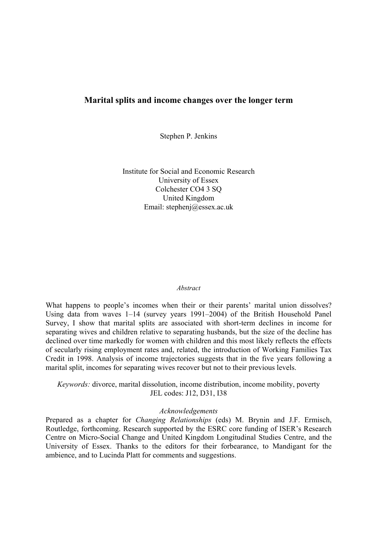## **Marital splits and income changes over the longer term**

Stephen P. Jenkins

Institute for Social and Economic Research University of Essex Colchester CO4 3 SQ United Kingdom Email: stephenj@essex.ac.uk

#### *Abstract*

What happens to people's incomes when their or their parents' marital union dissolves? Using data from waves 1–14 (survey years 1991–2004) of the British Household Panel Survey, I show that marital splits are associated with short-term declines in income for separating wives and children relative to separating husbands, but the size of the decline has declined over time markedly for women with children and this most likely reflects the effects of secularly rising employment rates and, related, the introduction of Working Families Tax Credit in 1998. Analysis of income trajectories suggests that in the five years following a marital split, incomes for separating wives recover but not to their previous levels.

*Keywords:* divorce, marital dissolution, income distribution, income mobility, poverty JEL codes: J12, D31, I38

#### *Acknowledgements*

Prepared as a chapter for *Changing Relationships* (eds) M. Brynin and J.F. Ermisch, Routledge, forthcoming. Research supported by the ESRC core funding of ISER's Research Centre on Micro-Social Change and United Kingdom Longitudinal Studies Centre, and the University of Essex. Thanks to the editors for their forbearance, to Mandigant for the ambience, and to Lucinda Platt for comments and suggestions.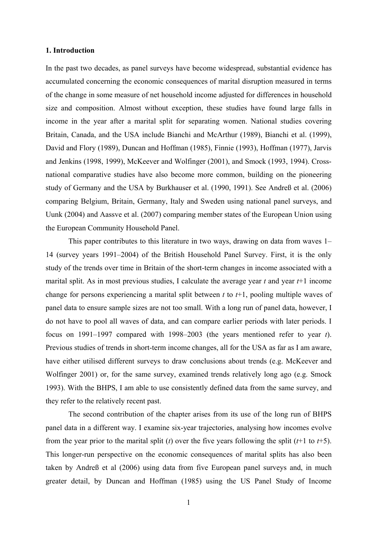#### **1. Introduction**

In the past two decades, as panel surveys have become widespread, substantial evidence has accumulated concerning the economic consequences of marital disruption measured in terms of the change in some measure of net household income adjusted for differences in household size and composition. Almost without exception, these studies have found large falls in income in the year after a marital split for separating women. National studies covering Britain, Canada, and the USA include Bianchi and McArthur (1989), Bianchi et al. (1999), David and Flory (1989), Duncan and Hoffman (1985), Finnie (1993), Hoffman (1977), Jarvis and Jenkins (1998, 1999), McKeever and Wolfinger (2001), and Smock (1993, 1994). Crossnational comparative studies have also become more common, building on the pioneering study of Germany and the USA by Burkhauser et al. (1990, 1991). See Andreß et al. (2006) comparing Belgium, Britain, Germany, Italy and Sweden using national panel surveys, and Uunk (2004) and Aassve et al. (2007) comparing member states of the European Union using the European Community Household Panel.

 This paper contributes to this literature in two ways, drawing on data from waves 1– 14 (survey years 1991–2004) of the British Household Panel Survey. First, it is the only study of the trends over time in Britain of the short-term changes in income associated with a marital split. As in most previous studies, I calculate the average year *t* and year *t*+1 income change for persons experiencing a marital split between *t* to *t*+1, pooling multiple waves of panel data to ensure sample sizes are not too small. With a long run of panel data, however, I do not have to pool all waves of data, and can compare earlier periods with later periods. I focus on 1991–1997 compared with 1998–2003 (the years mentioned refer to year *t*). Previous studies of trends in short-term income changes, all for the USA as far as I am aware, have either utilised different surveys to draw conclusions about trends (e.g. McKeever and Wolfinger 2001) or, for the same survey, examined trends relatively long ago (e.g. Smock 1993). With the BHPS, I am able to use consistently defined data from the same survey, and they refer to the relatively recent past.

 The second contribution of the chapter arises from its use of the long run of BHPS panel data in a different way. I examine six-year trajectories, analysing how incomes evolve from the year prior to the marital split (*t*) over the five years following the split (*t*+1 to *t*+5). This longer-run perspective on the economic consequences of marital splits has also been taken by Andreß et al (2006) using data from five European panel surveys and, in much greater detail, by Duncan and Hoffman (1985) using the US Panel Study of Income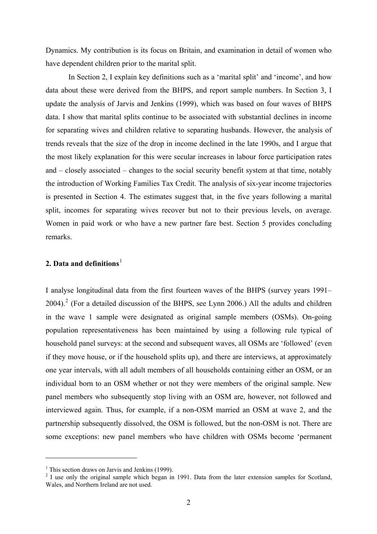Dynamics. My contribution is its focus on Britain, and examination in detail of women who have dependent children prior to the marital split.

 In Section 2, I explain key definitions such as a 'marital split' and 'income', and how data about these were derived from the BHPS, and report sample numbers. In Section 3, I update the analysis of Jarvis and Jenkins (1999), which was based on four waves of BHPS data. I show that marital splits continue to be associated with substantial declines in income for separating wives and children relative to separating husbands. However, the analysis of trends reveals that the size of the drop in income declined in the late 1990s, and I argue that the most likely explanation for this were secular increases in labour force participation rates and – closely associated – changes to the social security benefit system at that time, notably the introduction of Working Families Tax Credit. The analysis of six-year income trajectories is presented in Section 4. The estimates suggest that, in the five years following a marital split, incomes for separating wives recover but not to their previous levels, on average. Women in paid work or who have a new partner fare best. Section 5 provides concluding remarks.

# **2. Data and definitions**<sup>[1](#page-4-1)</sup>

I analyse longitudinal data from the first fourteen waves of the BHPS (survey years 1991– [2](#page-4-0)004).<sup>2</sup> (For a detailed discussion of the BHPS, see Lynn 2006.) All the adults and children in the wave 1 sample were designated as original sample members (OSMs). On-going population representativeness has been maintained by using a following rule typical of household panel surveys: at the second and subsequent waves, all OSMs are 'followed' (even if they move house, or if the household splits up), and there are interviews, at approximately one year intervals, with all adult members of all households containing either an OSM, or an individual born to an OSM whether or not they were members of the original sample. New panel members who subsequently stop living with an OSM are, however, not followed and interviewed again. Thus, for example, if a non-OSM married an OSM at wave 2, and the partnership subsequently dissolved, the OSM is followed, but the non-OSM is not. There are some exceptions: new panel members who have children with OSMs become 'permanent

<span id="page-4-1"></span><sup>&</sup>lt;sup>1</sup> This section draws on Jarvis and Jenkins (1999).

<span id="page-4-0"></span> $2$  I use only the original sample which began in 1991. Data from the later extension samples for Scotland, Wales, and Northern Ireland are not used.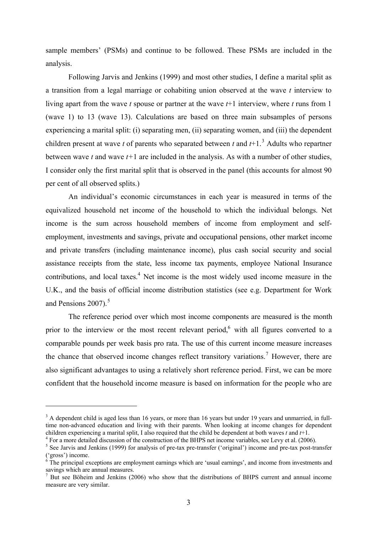sample members' (PSMs) and continue to be followed. These PSMs are included in the analysis.

Following Jarvis and Jenkins (1999) and most other studies, I define a marital split as a transition from a legal marriage or cohabiting union observed at the wave *t* interview to living apart from the wave *t* spouse or partner at the wave *t*+1 interview, where *t* runs from 1 (wave 1) to 13 (wave 13). Calculations are based on three main subsamples of persons experiencing a marital split: (i) separating men, (ii) separating women, and (iii) the dependent children present at wave *t* of parents who separated between *t* and  $t+1$ .<sup>[3](#page-5-1)</sup> Adults who repartner between wave *t* and wave *t+*1 are included in the analysis. As with a number of other studies, I consider only the first marital split that is observed in the panel (this accounts for almost 90 per cent of all observed splits.)

An individual's economic circumstances in each year is measured in terms of the equivalized household net income of the household to which the individual belongs. Net income is the sum across household members of income from employment and selfemployment, investments and savings, private and occupational pensions, other market income and private transfers (including maintenance income), plus cash social security and social assistance receipts from the state, less income tax payments, employee National Insurance contributions, and local taxes.<sup>[4](#page-5-2)</sup> Net income is the most widely used income measure in the U.K., and the basis of official income distribution statistics (see e.g. Department for Work and Pensions  $2007$ ).<sup>[5](#page-5-3)</sup>

The reference period over which most income components are measured is the month prior to the interview or the most recent relevant period,<sup>[6](#page-5-4)</sup> with all figures converted to a comparable pounds per week basis pro rata. The use of this current income measure increases the chance that observed income changes reflect transitory variations.<sup>[7](#page-5-0)</sup> However, there are also significant advantages to using a relatively short reference period. First, we can be more confident that the household income measure is based on information for the people who are

<span id="page-5-1"></span> $3$  A dependent child is aged less than 16 years, or more than 16 years but under 19 years and unmarried, in fulltime non-advanced education and living with their parents. When looking at income changes for dependent children experiencing a marital split, I also required that the child be dependent at both waves  $t$  and  $t+1$ .

<span id="page-5-3"></span><span id="page-5-2"></span><sup>&</sup>lt;sup>4</sup> For a more detailed discussion of the construction of the BHPS net income variables, see Levy et al. (2006).

<sup>&</sup>lt;sup>5</sup> See Jarvis and Jenkins (1999) for analysis of pre-tax pre-transfer ('original') income and pre-tax post-transfer ('gross') income.<br><sup>6</sup> The principal exceptions are employment earnings which are 'usual earnings', and income from investments and

<span id="page-5-4"></span>savings which are annual measures.

<span id="page-5-0"></span><sup>&</sup>lt;sup>7</sup> But see Böheim and Jenkins (2006) who show that the distributions of BHPS current and annual income measure are very similar.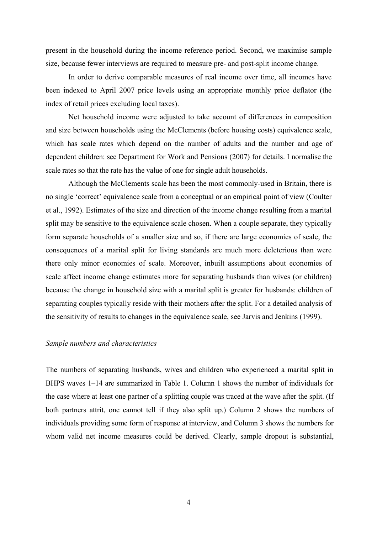present in the household during the income reference period. Second, we maximise sample size, because fewer interviews are required to measure pre- and post-split income change.

 In order to derive comparable measures of real income over time, all incomes have been indexed to April 2007 price levels using an appropriate monthly price deflator (the index of retail prices excluding local taxes).

 Net household income were adjusted to take account of differences in composition and size between households using the McClements (before housing costs) equivalence scale, which has scale rates which depend on the number of adults and the number and age of dependent children: see Department for Work and Pensions (2007) for details. I normalise the scale rates so that the rate has the value of one for single adult households.

 Although the McClements scale has been the most commonly-used in Britain, there is no single 'correct' equivalence scale from a conceptual or an empirical point of view (Coulter et al., 1992). Estimates of the size and direction of the income change resulting from a marital split may be sensitive to the equivalence scale chosen. When a couple separate, they typically form separate households of a smaller size and so, if there are large economies of scale, the consequences of a marital split for living standards are much more deleterious than were there only minor economies of scale. Moreover, inbuilt assumptions about economies of scale affect income change estimates more for separating husbands than wives (or children) because the change in household size with a marital split is greater for husbands: children of separating couples typically reside with their mothers after the split. For a detailed analysis of the sensitivity of results to changes in the equivalence scale, see Jarvis and Jenkins (1999).

#### *Sample numbers and characteristics*

The numbers of separating husbands, wives and children who experienced a marital split in BHPS waves 1–14 are summarized in Table 1. Column 1 shows the number of individuals for the case where at least one partner of a splitting couple was traced at the wave after the split. (If both partners attrit, one cannot tell if they also split up.) Column 2 shows the numbers of individuals providing some form of response at interview, and Column 3 shows the numbers for whom valid net income measures could be derived. Clearly, sample dropout is substantial,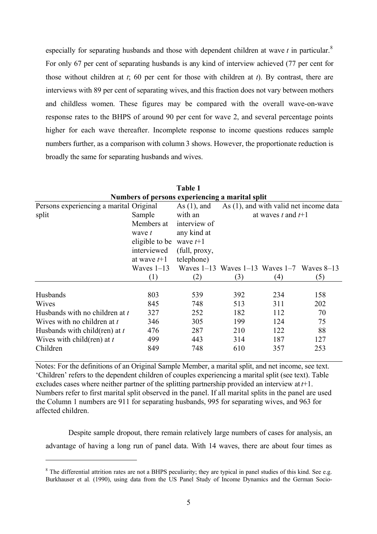especially for separating husbands and those with dependent children at wave  $t$  in particular.<sup>[8](#page-7-0)</sup> For only 67 per cent of separating husbands is any kind of interview achieved (77 per cent for those without children at *t*; 60 per cent for those with children at *t*). By contrast, there are interviews with 89 per cent of separating wives, and this fraction does not vary between mothers and childless women. These figures may be compared with the overall wave-on-wave response rates to the BHPS of around 90 per cent for wave 2, and several percentage points higher for each wave thereafter. Incomplete response to income questions reduces sample numbers further, as a comparison with column 3 shows. However, the proportionate reduction is broadly the same for separating husbands and wives.

| Table 1                                         |                |                |                                                    |     |     |  |  |  |
|-------------------------------------------------|----------------|----------------|----------------------------------------------------|-----|-----|--|--|--|
| Numbers of persons experiencing a marital split |                |                |                                                    |     |     |  |  |  |
| Persons experiencing a marital Original         |                | As $(1)$ , and | As $(1)$ , and with valid net income data          |     |     |  |  |  |
| split<br>Sample                                 |                | with an        | at waves t and $t+1$                               |     |     |  |  |  |
|                                                 | Members at     | interview of   |                                                    |     |     |  |  |  |
|                                                 | wave t         | any kind at    |                                                    |     |     |  |  |  |
|                                                 | eligible to be | wave $t+1$     |                                                    |     |     |  |  |  |
|                                                 | interviewed    | (full, proxy,  |                                                    |     |     |  |  |  |
|                                                 | at wave $t+1$  | telephone)     |                                                    |     |     |  |  |  |
|                                                 | Waves $1-13$   |                | Waves $1-13$ Waves $1-13$ Waves $1-7$ Waves $8-13$ |     |     |  |  |  |
|                                                 | (1)            | (2)            | (3)                                                | (4) | (5) |  |  |  |
| Husbands                                        | 803            |                | 392                                                | 234 |     |  |  |  |
|                                                 |                | 539            |                                                    |     | 158 |  |  |  |
| Wives                                           | 845            | 748            | 513                                                | 311 | 202 |  |  |  |
| Husbands with no children at t                  | 327            | 252            | 182                                                | 112 | 70  |  |  |  |
| Wives with no children at t                     | 346            | 305            | 199                                                | 124 | 75  |  |  |  |
| Husbands with child (ren) at $t$                | 476            | 287            | 210                                                | 122 | 88  |  |  |  |
| Wives with child $(\text{ren})$ at t            | 499            | 443            | 314                                                | 187 | 127 |  |  |  |
| Children                                        | 849            | 748            | 610                                                | 357 | 253 |  |  |  |

**Table 1** 

Notes: For the definitions of an Original Sample Member, a marital split, and net income, see text. 'Children' refers to the dependent children of couples experiencing a marital split (see text). Table excludes cases where neither partner of the splitting partnership provided an interview at *t*+1. Numbers refer to first marital split observed in the panel. If all marital splits in the panel are used the Column 1 numbers are 911 for separating husbands, 995 for separating wives, and 963 for affected children.

 Despite sample dropout, there remain relatively large numbers of cases for analysis, an advantage of having a long run of panel data. With 14 waves, there are about four times as

<span id="page-7-0"></span> $8$  The differential attrition rates are not a BHPS peculiarity; they are typical in panel studies of this kind. See e.g. Burkhauser et al*.* (1990), using data from the US Panel Study of Income Dynamics and the German Socio-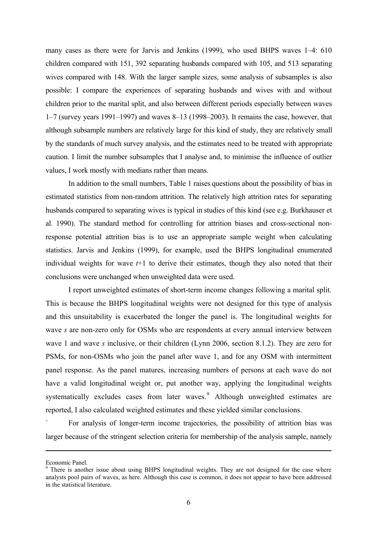many cases as there were for Jarvis and Jenkins (1999), who used BHPS waves 1–4: 610 children compared with 151, 392 separating husbands compared with 105, and 513 separating wives compared with 148. With the larger sample sizes, some analysis of subsamples is also possible: I compare the experiences of separating husbands and wives with and without children prior to the marital split, and also between different periods especially between waves 1–7 (survey years 1991–1997) and waves 8–13 (1998–2003). It remains the case, however, that although subsample numbers are relatively large for this kind of study, they are relatively small by the standards of much survey analysis, and the estimates need to be treated with appropriate caution. I limit the number subsamples that I analyse and, to minimise the influence of outlier values, I work mostly with medians rather than means.

In addition to the small numbers, Table 1 raises questions about the possibility of bias in estimated statistics from non-random attrition. The relatively high attrition rates for separating husbands compared to separating wives is typical in studies of this kind (see e.g. Burkhauser et al*.* 1990). The standard method for controlling for attrition biases and cross-sectional nonresponse potential attrition bias is to use an appropriate sample weight when calculating statistics. Jarvis and Jenkins (1999), for example, used the BHPS longitudinal enumerated individual weights for wave  $t+1$  to derive their estimates, though they also noted that their conclusions were unchanged when unweighted data were used.

I report unweighted estimates of short-term income changes following a marital split. This is because the BHPS longitudinal weights were not designed for this type of analysis and this unsuitability is exacerbated the longer the panel is. The longitudinal weights for wave *s* are non-zero only for OSMs who are respondents at every annual interview between wave 1 and wave *s* inclusive, or their children (Lynn 2006, section 8.1.2). They are zero for PSMs, for non-OSMs who join the panel after wave 1, and for any OSM with intermittent panel response. As the panel matures, increasing numbers of persons at each wave do not have a valid longitudinal weight or, put another way, applying the longitudinal weights systematically excludes cases from later waves. Although unweighted estimates are reported, I also calculated weighted estimates and these yielded similar conclusions.

` For analysis of longer-term income trajectories, the possibility of attrition bias was larger because of the stringent selection criteria for membership of the analysis sample, namely

Economic Panel.

<span id="page-8-0"></span><sup>&</sup>lt;sup>9</sup> There is another issue about using BHPS longitudinal weights. They are not designed for the case where analysts pool pairs of waves, as here. Although this case is common, it does not appear to have been addressed in the statistical literature.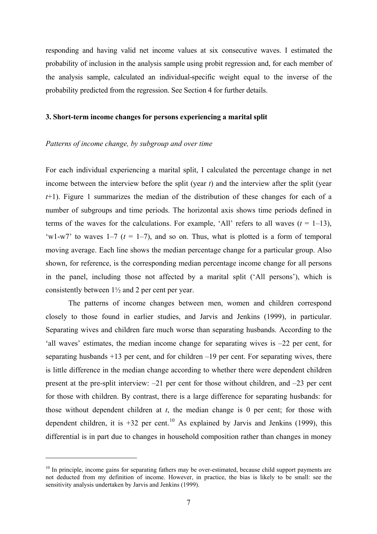responding and having valid net income values at six consecutive waves. I estimated the probability of inclusion in the analysis sample using probit regression and, for each member of the analysis sample, calculated an individual-specific weight equal to the inverse of the probability predicted from the regression. See Section 4 for further details.

#### **3. Short-term income changes for persons experiencing a marital split**

#### *Patterns of income change, by subgroup and over time*

 $\overline{a}$ 

For each individual experiencing a marital split, I calculated the percentage change in net income between the interview before the split (year *t*) and the interview after the split (year *t*+1). Figure 1 summarizes the median of the distribution of these changes for each of a number of subgroups and time periods. The horizontal axis shows time periods defined in terms of the waves for the calculations. For example, 'All' refers to all waves  $(t = 1-13)$ , 'w1-w7' to waves  $1-7$  ( $t = 1-7$ ), and so on. Thus, what is plotted is a form of temporal moving average. Each line shows the median percentage change for a particular group. Also shown, for reference, is the corresponding median percentage income change for all persons in the panel, including those not affected by a marital split ('All persons'), which is consistently between 1½ and 2 per cent per year.

The patterns of income changes between men, women and children correspond closely to those found in earlier studies, and Jarvis and Jenkins (1999), in particular. Separating wives and children fare much worse than separating husbands. According to the 'all waves' estimates, the median income change for separating wives is –22 per cent, for separating husbands +13 per cent, and for children –19 per cent. For separating wives, there is little difference in the median change according to whether there were dependent children present at the pre-split interview: –21 per cent for those without children, and –23 per cent for those with children. By contrast, there is a large difference for separating husbands: for those without dependent children at *t*, the median change is 0 per cent; for those with dependent children, it is  $+32$  per cent.<sup>[10](#page-9-0)</sup> As explained by Jarvis and Jenkins (1999), this differential is in part due to changes in household composition rather than changes in money

<span id="page-9-0"></span><sup>&</sup>lt;sup>10</sup> In principle, income gains for separating fathers may be over-estimated, because child support payments are not deducted from my definition of income. However, in practice, the bias is likely to be small: see the sensitivity analysis undertaken by Jarvis and Jenkins (1999).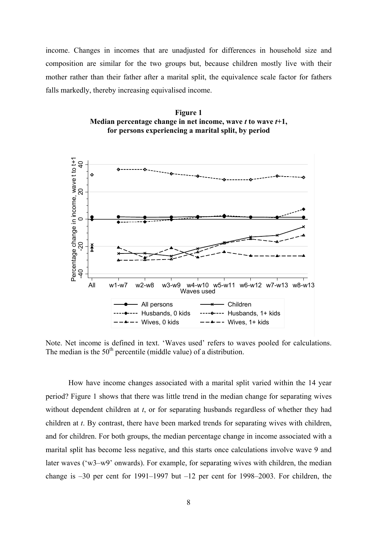income. Changes in incomes that are unadjusted for differences in household size and composition are similar for the two groups but, because children mostly live with their mother rather than their father after a marital split, the equivalence scale factor for fathers falls markedly, thereby increasing equivalised income.





Note. Net income is defined in text. 'Waves used' refers to waves pooled for calculations. The median is the  $50<sup>th</sup>$  percentile (middle value) of a distribution.

 How have income changes associated with a marital split varied within the 14 year period? Figure 1 shows that there was little trend in the median change for separating wives without dependent children at *t*, or for separating husbands regardless of whether they had children at *t*. By contrast, there have been marked trends for separating wives with children, and for children. For both groups, the median percentage change in income associated with a marital split has become less negative, and this starts once calculations involve wave 9 and later waves ('w3–w9' onwards). For example, for separating wives with children, the median change is  $-30$  per cent for 1991–1997 but  $-12$  per cent for 1998–2003. For children, the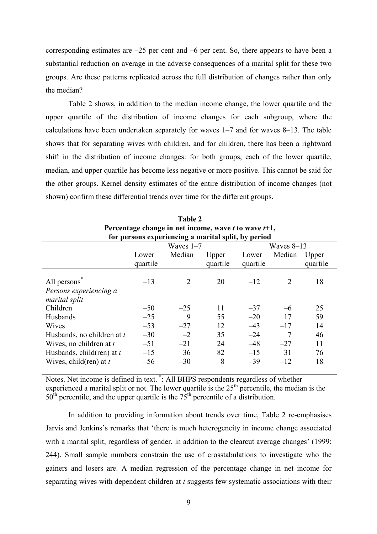corresponding estimates are  $-25$  per cent and  $-6$  per cent. So, there appears to have been a substantial reduction on average in the adverse consequences of a marital split for these two groups. Are these patterns replicated across the full distribution of changes rather than only the median?

 Table 2 shows, in addition to the median income change, the lower quartile and the upper quartile of the distribution of income changes for each subgroup, where the calculations have been undertaken separately for waves 1–7 and for waves 8–13. The table shows that for separating wives with children, and for children, there has been a rightward shift in the distribution of income changes: for both groups, each of the lower quartile, median, and upper quartile has become less negative or more positive. This cannot be said for the other groups. Kernel density estimates of the entire distribution of income changes (not shown) confirm these differential trends over time for the different groups.

| for persons experiencing a marital split, by period |                   |        |                   |                   |        |                   |  |
|-----------------------------------------------------|-------------------|--------|-------------------|-------------------|--------|-------------------|--|
|                                                     | Waves $1-7$       |        |                   | Waves $8-13$      |        |                   |  |
|                                                     | Lower<br>quartile | Median | Upper<br>quartile | Lower<br>quartile | Median | Upper<br>quartile |  |
| All persons<br>Persons experiencing a               | $-13$             | 2      | 20                | $-12$             | 2      | 18                |  |
| marital split                                       |                   |        |                   |                   |        |                   |  |
| Children                                            | $-50$             | $-25$  | 11                | $-37$             | $-6$   | 25                |  |
| Husbands                                            | $-25$             | 9      | 55                | $-20$             | 17     | 59                |  |
| <b>Wives</b>                                        | $-53$             | $-27$  | 12                | $-43$             | $-17$  | 14                |  |
| Husbands, no children at t                          | $-30$             | $-2$   | 35                | $-24$             | 7      | 46                |  |
| Wives, no children at t                             | $-51$             | $-21$  | 24                | $-48$             | $-27$  | 11                |  |
| Husbands, child(ren) at $t$                         | $-15$             | 36     | 82                | $-15$             | 31     | 76                |  |
| Wives, child (ren) at $t$                           | $-56$             | $-30$  | 8                 | $-39$             | $-12$  | 18                |  |

| <b>Table 2</b>                                       |
|------------------------------------------------------|
| Percentage change in net income, wave t to wave t+1, |
| for newcans experiencing a morital cult by newiad    |

Notes. Net income is defined in text. \* : All BHPS respondents regardless of whether experienced a marital split or not. The lower quartile is the  $25<sup>th</sup>$  percentile, the median is the  $50<sup>th</sup>$  percentile, and the upper quartile is the  $75<sup>th</sup>$  percentile of a distribution.

 In addition to providing information about trends over time, Table 2 re-emphasises Jarvis and Jenkins's remarks that 'there is much heterogeneity in income change associated with a marital split, regardless of gender, in addition to the clearcut average changes' (1999: 244). Small sample numbers constrain the use of crosstabulations to investigate who the gainers and losers are. A median regression of the percentage change in net income for separating wives with dependent children at *t* suggests few systematic associations with their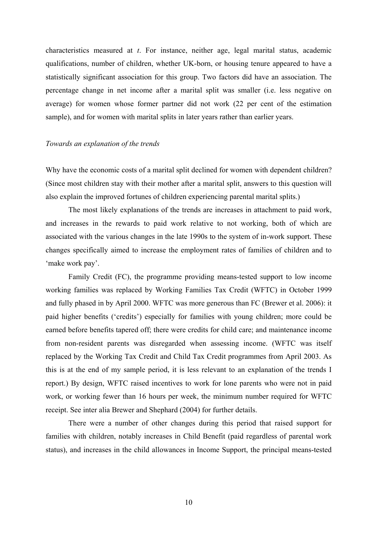characteristics measured at *t*. For instance, neither age, legal marital status, academic qualifications, number of children, whether UK-born, or housing tenure appeared to have a statistically significant association for this group. Two factors did have an association. The percentage change in net income after a marital split was smaller (i.e. less negative on average) for women whose former partner did not work (22 per cent of the estimation sample), and for women with marital splits in later years rather than earlier years.

#### *Towards an explanation of the trends*

Why have the economic costs of a marital split declined for women with dependent children? (Since most children stay with their mother after a marital split, answers to this question will also explain the improved fortunes of children experiencing parental marital splits.)

 The most likely explanations of the trends are increases in attachment to paid work, and increases in the rewards to paid work relative to not working, both of which are associated with the various changes in the late 1990s to the system of in-work support. These changes specifically aimed to increase the employment rates of families of children and to 'make work pay'.

 Family Credit (FC), the programme providing means-tested support to low income working families was replaced by Working Families Tax Credit (WFTC) in October 1999 and fully phased in by April 2000. WFTC was more generous than FC (Brewer et al. 2006): it paid higher benefits ('credits') especially for families with young children; more could be earned before benefits tapered off; there were credits for child care; and maintenance income from non-resident parents was disregarded when assessing income. (WFTC was itself replaced by the Working Tax Credit and Child Tax Credit programmes from April 2003. As this is at the end of my sample period, it is less relevant to an explanation of the trends I report.) By design, WFTC raised incentives to work for lone parents who were not in paid work, or working fewer than 16 hours per week, the minimum number required for WFTC receipt. See inter alia Brewer and Shephard (2004) for further details.

 There were a number of other changes during this period that raised support for families with children, notably increases in Child Benefit (paid regardless of parental work status), and increases in the child allowances in Income Support, the principal means-tested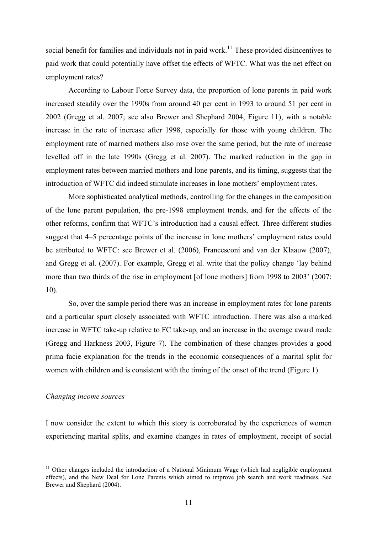social benefit for families and individuals not in paid work.<sup>[11](#page-13-0)</sup> These provided disincentives to paid work that could potentially have offset the effects of WFTC. What was the net effect on employment rates?

 According to Labour Force Survey data, the proportion of lone parents in paid work increased steadily over the 1990s from around 40 per cent in 1993 to around 51 per cent in 2002 (Gregg et al. 2007; see also Brewer and Shephard 2004, Figure 11), with a notable increase in the rate of increase after 1998, especially for those with young children. The employment rate of married mothers also rose over the same period, but the rate of increase levelled off in the late 1990s (Gregg et al. 2007). The marked reduction in the gap in employment rates between married mothers and lone parents, and its timing, suggests that the introduction of WFTC did indeed stimulate increases in lone mothers' employment rates.

 More sophisticated analytical methods, controlling for the changes in the composition of the lone parent population, the pre-1998 employment trends, and for the effects of the other reforms, confirm that WFTC's introduction had a causal effect. Three different studies suggest that 4–5 percentage points of the increase in lone mothers' employment rates could be attributed to WFTC: see Brewer et al. (2006), Francesconi and van der Klaauw (2007), and Gregg et al. (2007). For example, Gregg et al. write that the policy change 'lay behind more than two thirds of the rise in employment [of lone mothers] from 1998 to 2003' (2007: 10).

So, over the sample period there was an increase in employment rates for lone parents and a particular spurt closely associated with WFTC introduction. There was also a marked increase in WFTC take-up relative to FC take-up, and an increase in the average award made (Gregg and Harkness 2003, Figure 7). The combination of these changes provides a good prima facie explanation for the trends in the economic consequences of a marital split for women with children and is consistent with the timing of the onset of the trend (Figure 1).

#### *Changing income sources*

 $\overline{a}$ 

I now consider the extent to which this story is corroborated by the experiences of women experiencing marital splits, and examine changes in rates of employment, receipt of social

<span id="page-13-0"></span> $11$  Other changes included the introduction of a National Minimum Wage (which had negligible employment effects), and the New Deal for Lone Parents which aimed to improve job search and work readiness. See Brewer and Shephard (2004).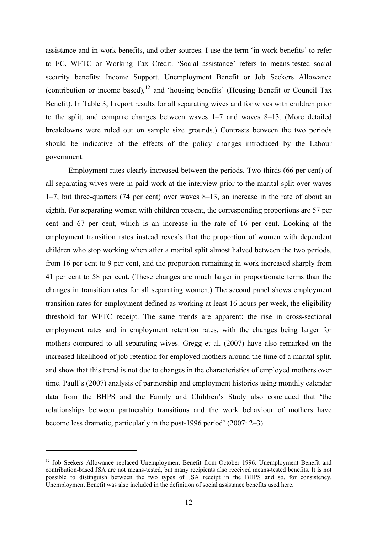assistance and in-work benefits, and other sources. I use the term 'in-work benefits' to refer to FC, WFTC or Working Tax Credit. 'Social assistance' refers to means-tested social security benefits: Income Support, Unemployment Benefit or Job Seekers Allowance (contribution or income based),<sup>[12](#page-14-0)</sup> and 'housing benefits' (Housing Benefit or Council Tax Benefit). In Table 3, I report results for all separating wives and for wives with children prior to the split, and compare changes between waves 1–7 and waves 8–13. (More detailed breakdowns were ruled out on sample size grounds.) Contrasts between the two periods should be indicative of the effects of the policy changes introduced by the Labour government.

Employment rates clearly increased between the periods. Two-thirds (66 per cent) of all separating wives were in paid work at the interview prior to the marital split over waves 1–7, but three-quarters (74 per cent) over waves 8–13, an increase in the rate of about an eighth. For separating women with children present, the corresponding proportions are 57 per cent and 67 per cent, which is an increase in the rate of 16 per cent. Looking at the employment transition rates instead reveals that the proportion of women with dependent children who stop working when after a marital split almost halved between the two periods, from 16 per cent to 9 per cent, and the proportion remaining in work increased sharply from 41 per cent to 58 per cent. (These changes are much larger in proportionate terms than the changes in transition rates for all separating women.) The second panel shows employment transition rates for employment defined as working at least 16 hours per week, the eligibility threshold for WFTC receipt. The same trends are apparent: the rise in cross-sectional employment rates and in employment retention rates, with the changes being larger for mothers compared to all separating wives. Gregg et al. (2007) have also remarked on the increased likelihood of job retention for employed mothers around the time of a marital split, and show that this trend is not due to changes in the characteristics of employed mothers over time. Paull's (2007) analysis of partnership and employment histories using monthly calendar data from the BHPS and the Family and Children's Study also concluded that 'the relationships between partnership transitions and the work behaviour of mothers have become less dramatic, particularly in the post-1996 period' (2007: 2–3).

<span id="page-14-0"></span><sup>&</sup>lt;sup>12</sup> Job Seekers Allowance replaced Unemployment Benefit from October 1996. Unemployment Benefit and contribution-based JSA are not means-tested, but many recipients also received means-tested benefits. It is not possible to distinguish between the two types of JSA receipt in the BHPS and so, for consistency, Unemployment Benefit was also included in the definition of social assistance benefits used here.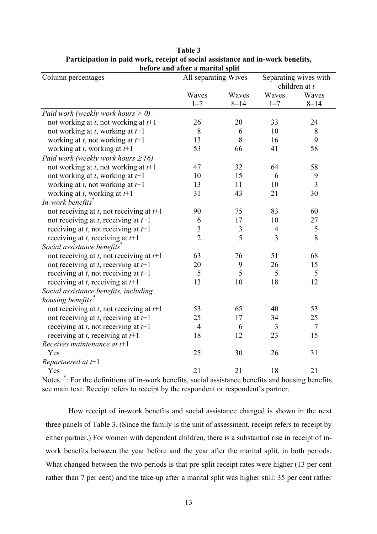|                                               | Defore and after a marital spilt<br>All separating Wives |          |                                        |                |  |
|-----------------------------------------------|----------------------------------------------------------|----------|----------------------------------------|----------------|--|
| Column percentages                            |                                                          |          | Separating wives with<br>children at t |                |  |
|                                               | Waves                                                    | Waves    | Waves                                  | Waves          |  |
|                                               | $1 - 7$                                                  | $8 - 14$ | $1 - 7$                                | $8 - 14$       |  |
| Paid work (weekly work hours $> 0$ )          |                                                          |          |                                        |                |  |
| not working at $t$ , not working at $t+1$     | 26                                                       | 20       | 33                                     | 24             |  |
|                                               | 8                                                        | 6        | 10                                     |                |  |
| not working at $t$ , working at $t+1$         | 13                                                       | 8        | 16                                     | 8<br>9         |  |
| working at t, not working at $t+1$            |                                                          |          |                                        |                |  |
| working at $t$ , working at $t+1$             | 53                                                       | 66       | 41                                     | 58             |  |
| Paid work (weekly work hours $\geq 16$ )      |                                                          |          |                                        |                |  |
| not working at $t$ , not working at $t+1$     | 47                                                       | 32       | 64                                     | 58             |  |
| not working at t, working at $t+1$            | 10                                                       | 15       | 6                                      | 9              |  |
| working at $t$ , not working at $t+1$         | 13                                                       | 11       | 10                                     | $\overline{3}$ |  |
| working at $t$ , working at $t+1$             | 31                                                       | 43       | 21                                     | 30             |  |
| In-work benefits                              |                                                          |          |                                        |                |  |
| not receiving at $t$ , not receiving at $t+1$ | 90                                                       | 75       | 83                                     | 60             |  |
| not receiving at $t$ , receiving at $t+1$     | 6                                                        | 17       | 10                                     | 27             |  |
| receiving at t, not receiving at $t+1$        | $\overline{\mathbf{3}}$                                  | 3        | $\overline{4}$                         | $\mathfrak s$  |  |
| receiving at t, receiving at $t+1$            | $\overline{2}$                                           | 5        | $\overline{3}$                         | 8              |  |
| Social assistance benefits <sup>®</sup>       |                                                          |          |                                        |                |  |
| not receiving at $t$ , not receiving at $t+1$ | 63                                                       | 76       | 51                                     | 68             |  |
| not receiving at t, receiving at $t+1$        | 20                                                       | 9        | 26                                     | 15             |  |
| receiving at t, not receiving at $t+1$        | 5                                                        | 5        | 5                                      | 5              |  |
| receiving at t, receiving at $t+1$            | 13                                                       | 10       | 18                                     | 12             |  |
| Social assistance benefits, including         |                                                          |          |                                        |                |  |
| housing benefits                              |                                                          |          |                                        |                |  |
| not receiving at t, not receiving at $t+1$    | 53                                                       | 65       | 40                                     | 53             |  |
| not receiving at t, receiving at $t+1$        | 25                                                       | 17       | 34                                     | 25             |  |
| receiving at t, not receiving at $t+1$        | $\overline{4}$                                           | 6        | 3                                      | $\overline{7}$ |  |
| receiving at t, receiving at $t+1$            | 18                                                       | 12       | 23                                     | 15             |  |
| Receives maintenance at $t+1$                 |                                                          |          |                                        |                |  |
| Yes                                           | 25                                                       | 30       | 26                                     | 31             |  |
| Repartnered at $t+1$                          |                                                          |          |                                        |                |  |
| Yes                                           | 21                                                       | 21       | 18                                     | 21             |  |

**Table 3 Participation in paid work, receipt of social assistance and in-work benefits, before and after a marital split**

Notes. \* : For the definitions of in-work benefits, social assistance benefits and housing benefits, see main text. Receipt refers to receipt by the respondent or respondent's partner.

How receipt of in-work benefits and social assistance changed is shown in the next three panels of Table 3. (Since the family is the unit of assessment, receipt refers to receipt by either partner.) For women with dependent children, there is a substantial rise in receipt of inwork benefits between the year before and the year after the marital split, in both periods. What changed between the two periods is that pre-split receipt rates were higher (13 per cent rather than 7 per cent) and the take-up after a marital split was higher still: 35 per cent rather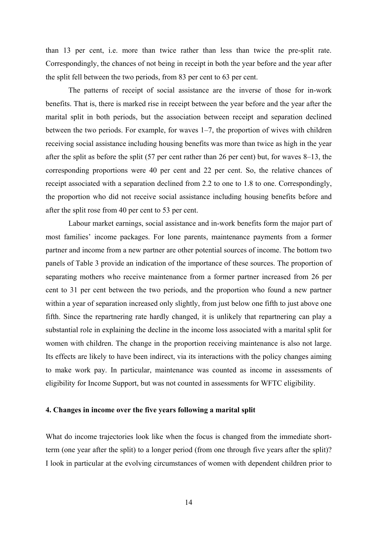than 13 per cent, i.e. more than twice rather than less than twice the pre-split rate. Correspondingly, the chances of not being in receipt in both the year before and the year after the split fell between the two periods, from 83 per cent to 63 per cent.

The patterns of receipt of social assistance are the inverse of those for in-work benefits. That is, there is marked rise in receipt between the year before and the year after the marital split in both periods, but the association between receipt and separation declined between the two periods. For example, for waves 1–7, the proportion of wives with children receiving social assistance including housing benefits was more than twice as high in the year after the split as before the split (57 per cent rather than 26 per cent) but, for waves 8–13, the corresponding proportions were 40 per cent and 22 per cent. So, the relative chances of receipt associated with a separation declined from 2.2 to one to 1.8 to one. Correspondingly, the proportion who did not receive social assistance including housing benefits before and after the split rose from 40 per cent to 53 per cent.

 Labour market earnings, social assistance and in-work benefits form the major part of most families' income packages. For lone parents, maintenance payments from a former partner and income from a new partner are other potential sources of income. The bottom two panels of Table 3 provide an indication of the importance of these sources. The proportion of separating mothers who receive maintenance from a former partner increased from 26 per cent to 31 per cent between the two periods, and the proportion who found a new partner within a year of separation increased only slightly, from just below one fifth to just above one fifth. Since the repartnering rate hardly changed, it is unlikely that repartnering can play a substantial role in explaining the decline in the income loss associated with a marital split for women with children. The change in the proportion receiving maintenance is also not large. Its effects are likely to have been indirect, via its interactions with the policy changes aiming to make work pay. In particular, maintenance was counted as income in assessments of eligibility for Income Support, but was not counted in assessments for WFTC eligibility.

#### **4. Changes in income over the five years following a marital split**

What do income trajectories look like when the focus is changed from the immediate shortterm (one year after the split) to a longer period (from one through five years after the split)? I look in particular at the evolving circumstances of women with dependent children prior to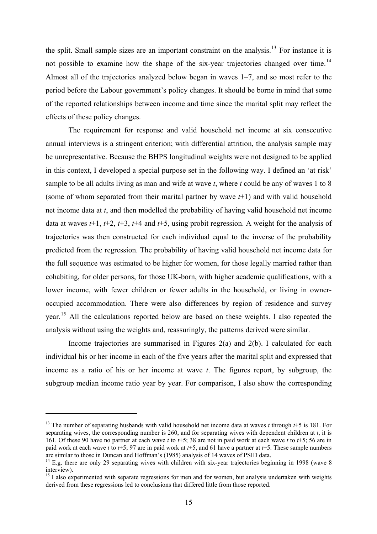the split. Small sample sizes are an important constraint on the analysis.<sup>[13](#page-17-1)</sup> For instance it is not possible to examine how the shape of the six-year trajectories changed over time.<sup>[14](#page-17-2)</sup> Almost all of the trajectories analyzed below began in waves 1–7, and so most refer to the period before the Labour government's policy changes. It should be borne in mind that some of the reported relationships between income and time since the marital split may reflect the effects of these policy changes.

 The requirement for response and valid household net income at six consecutive annual interviews is a stringent criterion; with differential attrition, the analysis sample may be unrepresentative. Because the BHPS longitudinal weights were not designed to be applied in this context, I developed a special purpose set in the following way. I defined an 'at risk' sample to be all adults living as man and wife at wave *t*, where *t* could be any of waves 1 to 8 (some of whom separated from their marital partner by wave *t*+1) and with valid household net income data at *t*, and then modelled the probability of having valid household net income data at waves *t*+1, *t*+2, *t*+3, *t*+4 and *t*+5, using probit regression. A weight for the analysis of trajectories was then constructed for each individual equal to the inverse of the probability predicted from the regression. The probability of having valid household net income data for the full sequence was estimated to be higher for women, for those legally married rather than cohabiting, for older persons, for those UK-born, with higher academic qualifications, with a lower income, with fewer children or fewer adults in the household, or living in owneroccupied accommodation. There were also differences by region of residence and survey year.[15](#page-17-0) All the calculations reported below are based on these weights. I also repeated the analysis without using the weights and, reassuringly, the patterns derived were similar.

 Income trajectories are summarised in Figures 2(a) and 2(b). I calculated for each individual his or her income in each of the five years after the marital split and expressed that income as a ratio of his or her income at wave *t*. The figures report, by subgroup, the subgroup median income ratio year by year. For comparison, I also show the corresponding

<span id="page-17-1"></span><sup>13</sup> The number of separating husbands with valid household net income data at waves *t* through *t*+5 is 181. For separating wives, the corresponding number is 260, and for separating wives with dependent children at *t*, it is 161. Of these 90 have no partner at each wave *t* to *t*+5; 38 are not in paid work at each wave *t* to *t*+5; 56 are in paid work at each wave *t* to *t*+5; 97 are in paid work at *t*+5, and 61 have a partner at *t*+5. These sample numbers are similar to those in Duncan and Hoffman's (1985) analysis of 14 waves of PSID data.

<span id="page-17-2"></span><sup>&</sup>lt;sup>14</sup> E.g. there are only 29 separating wives with children with six-year trajectories beginning in 1998 (wave 8 interview).

<span id="page-17-0"></span><sup>&</sup>lt;sup>15</sup> I also experimented with separate regressions for men and for women, but analysis undertaken with weights derived from these regressions led to conclusions that differed little from those reported.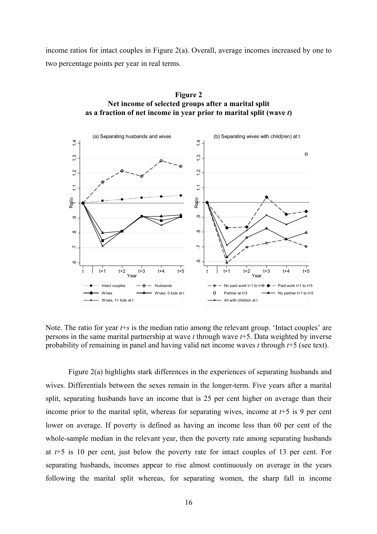income ratios for intact couples in Figure 2(a). Overall, average incomes increased by one to two percentage points per year in real terms.



**Figure 2 Net income of selected groups after a marital split as a fraction of net income in year prior to marital split (wave** *t***)** 

Note. The ratio for year *t*+*s* is the median ratio among the relevant group. 'Intact couples' are persons in the same marital partnership at wave *t* through wave *t*+5. Data weighted by inverse probability of remaining in panel and having valid net income waves *t* through *t*+5 (see text).

 Figure 2(a) highlights stark differences in the experiences of separating husbands and wives. Differentials between the sexes remain in the longer-term. Five years after a marital split, separating husbands have an income that is 25 per cent higher on average than their income prior to the marital split, whereas for separating wives, income at *t*+5 is 9 per cent lower on average. If poverty is defined as having an income less than 60 per cent of the whole-sample median in the relevant year, then the poverty rate among separating husbands at *t*+5 is 10 per cent, just below the poverty rate for intact couples of 13 per cent. For separating husbands, incomes appear to rise almost continuously on average in the years following the marital split whereas, for separating women, the sharp fall in income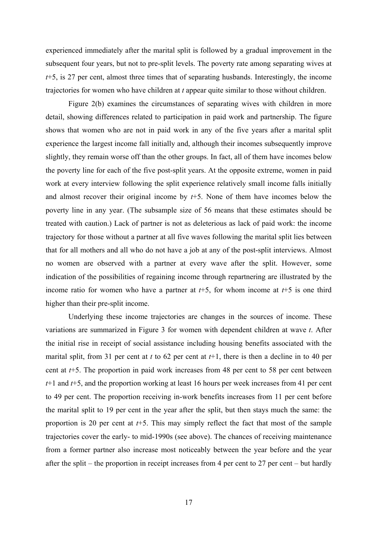experienced immediately after the marital split is followed by a gradual improvement in the subsequent four years, but not to pre-split levels. The poverty rate among separating wives at *t*+5, is 27 per cent, almost three times that of separating husbands. Interestingly, the income trajectories for women who have children at *t* appear quite similar to those without children.

 Figure 2(b) examines the circumstances of separating wives with children in more detail, showing differences related to participation in paid work and partnership. The figure shows that women who are not in paid work in any of the five years after a marital split experience the largest income fall initially and, although their incomes subsequently improve slightly, they remain worse off than the other groups. In fact, all of them have incomes below the poverty line for each of the five post-split years. At the opposite extreme, women in paid work at every interview following the split experience relatively small income falls initially and almost recover their original income by *t*+5. None of them have incomes below the poverty line in any year. (The subsample size of 56 means that these estimates should be treated with caution.) Lack of partner is not as deleterious as lack of paid work: the income trajectory for those without a partner at all five waves following the marital split lies between that for all mothers and all who do not have a job at any of the post-split interviews. Almost no women are observed with a partner at every wave after the split. However, some indication of the possibilities of regaining income through repartnering are illustrated by the income ratio for women who have a partner at *t*+5, for whom income at *t*+5 is one third higher than their pre-split income.

 Underlying these income trajectories are changes in the sources of income. These variations are summarized in Figure 3 for women with dependent children at wave *t*. After the initial rise in receipt of social assistance including housing benefits associated with the marital split, from 31 per cent at *t* to 62 per cent at *t*+1, there is then a decline in to 40 per cent at *t*+5. The proportion in paid work increases from 48 per cent to 58 per cent between *t*+1 and *t*+5, and the proportion working at least 16 hours per week increases from 41 per cent to 49 per cent. The proportion receiving in-work benefits increases from 11 per cent before the marital split to 19 per cent in the year after the split, but then stays much the same: the proportion is 20 per cent at *t*+5. This may simply reflect the fact that most of the sample trajectories cover the early- to mid-1990s (see above). The chances of receiving maintenance from a former partner also increase most noticeably between the year before and the year after the split – the proportion in receipt increases from 4 per cent to 27 per cent – but hardly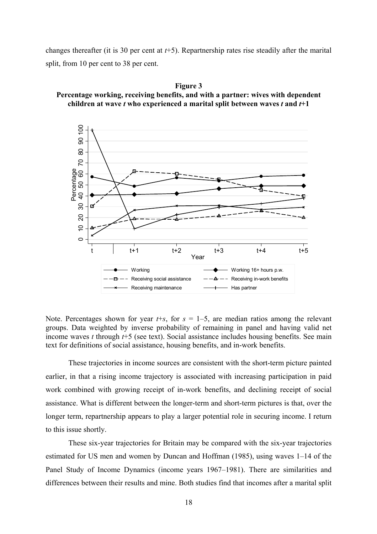changes thereafter (it is 30 per cent at *t*+5). Repartnership rates rise steadily after the marital split, from 10 per cent to 38 per cent.



**Figure 3 Percentage working, receiving benefits, and with a partner: wives with dependent children at wave** *t* **who experienced a marital split between waves** *t* **and** *t***+1** 

Note. Percentages shown for year  $t+s$ , for  $s = 1-5$ , are median ratios among the relevant groups. Data weighted by inverse probability of remaining in panel and having valid net income waves *t* through *t*+5 (see text). Social assistance includes housing benefits. See main text for definitions of social assistance, housing benefits, and in-work benefits.

These trajectories in income sources are consistent with the short-term picture painted earlier, in that a rising income trajectory is associated with increasing participation in paid work combined with growing receipt of in-work benefits, and declining receipt of social assistance. What is different between the longer-term and short-term pictures is that, over the longer term, repartnership appears to play a larger potential role in securing income. I return to this issue shortly.

 These six-year trajectories for Britain may be compared with the six-year trajectories estimated for US men and women by Duncan and Hoffman (1985), using waves 1–14 of the Panel Study of Income Dynamics (income years 1967–1981). There are similarities and differences between their results and mine. Both studies find that incomes after a marital split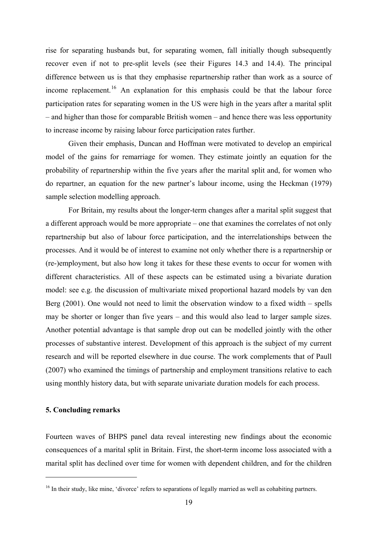rise for separating husbands but, for separating women, fall initially though subsequently recover even if not to pre-split levels (see their Figures 14.3 and 14.4). The principal difference between us is that they emphasise repartnership rather than work as a source of income replacement.<sup>[16](#page-21-0)</sup> An explanation for this emphasis could be that the labour force participation rates for separating women in the US were high in the years after a marital split – and higher than those for comparable British women – and hence there was less opportunity to increase income by raising labour force participation rates further.

 Given their emphasis, Duncan and Hoffman were motivated to develop an empirical model of the gains for remarriage for women. They estimate jointly an equation for the probability of repartnership within the five years after the marital split and, for women who do repartner, an equation for the new partner's labour income, using the Heckman (1979) sample selection modelling approach.

For Britain, my results about the longer-term changes after a marital split suggest that a different approach would be more appropriate – one that examines the correlates of not only repartnership but also of labour force participation, and the interrelationships between the processes. And it would be of interest to examine not only whether there is a repartnership or (re-)employment, but also how long it takes for these these events to occur for women with different characteristics. All of these aspects can be estimated using a bivariate duration model: see e.g. the discussion of multivariate mixed proportional hazard models by van den Berg (2001). One would not need to limit the observation window to a fixed width – spells may be shorter or longer than five years – and this would also lead to larger sample sizes. Another potential advantage is that sample drop out can be modelled jointly with the other processes of substantive interest. Development of this approach is the subject of my current research and will be reported elsewhere in due course. The work complements that of Paull (2007) who examined the timings of partnership and employment transitions relative to each using monthly history data, but with separate univariate duration models for each process.

## **5. Concluding remarks**

 $\overline{a}$ 

Fourteen waves of BHPS panel data reveal interesting new findings about the economic consequences of a marital split in Britain. First, the short-term income loss associated with a marital split has declined over time for women with dependent children, and for the children

<span id="page-21-0"></span><sup>&</sup>lt;sup>16</sup> In their study, like mine, 'divorce' refers to separations of legally married as well as cohabiting partners.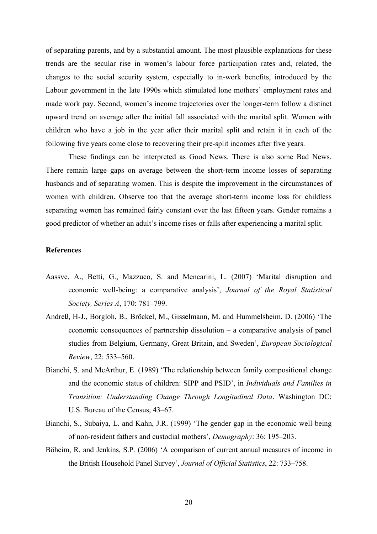of separating parents, and by a substantial amount. The most plausible explanations for these trends are the secular rise in women's labour force participation rates and, related, the changes to the social security system, especially to in-work benefits, introduced by the Labour government in the late 1990s which stimulated lone mothers' employment rates and made work pay. Second, women's income trajectories over the longer-term follow a distinct upward trend on average after the initial fall associated with the marital split. Women with children who have a job in the year after their marital split and retain it in each of the following five years come close to recovering their pre-split incomes after five years.

 These findings can be interpreted as Good News. There is also some Bad News. There remain large gaps on average between the short-term income losses of separating husbands and of separating women. This is despite the improvement in the circumstances of women with children. Observe too that the average short-term income loss for childless separating women has remained fairly constant over the last fifteen years. Gender remains a good predictor of whether an adult's income rises or falls after experiencing a marital split.

## **References**

- Aassve, A., Betti, G., Mazzuco, S. and Mencarini, L. (2007) 'Marital disruption and economic well-being: a comparative analysis', *Journal of the Royal Statistical Society, Series A*, 170: 781–799.
- Andreß, H-J., Borgloh, B., Bröckel, M., Gisselmann, M. and Hummelsheim, D. (2006) 'The economic consequences of partnership dissolution – a comparative analysis of panel studies from Belgium, Germany, Great Britain, and Sweden', *European Sociological Review*, 22: 533–560.
- Bianchi, S. and McArthur, E. (1989) 'The relationship between family compositional change and the economic status of children: SIPP and PSID', in *Individuals and Families in Transition: Understanding Change Through Longitudinal Data*. Washington DC: U.S. Bureau of the Census, 43–67.
- Bianchi, S., Subaiya, L. and Kahn, J.R. (1999) 'The gender gap in the economic well-being of non-resident fathers and custodial mothers', *Demography*: 36: 195–203.
- Böheim, R. and Jenkins, S.P. (2006) 'A comparison of current annual measures of income in the British Household Panel Survey', *Journal of Official Statistics*, 22: 733–758.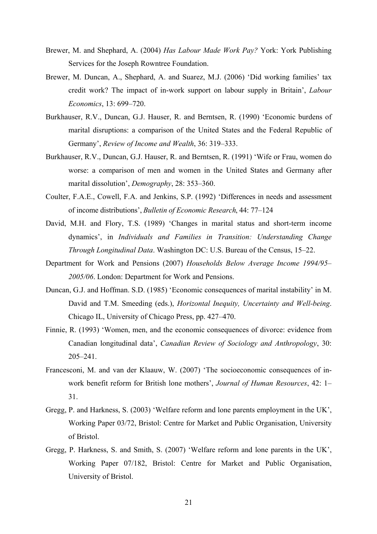- Brewer, M. and Shephard, A. (2004) *Has Labour Made Work Pay?* York: York Publishing Services for the Joseph Rowntree Foundation.
- Brewer, M. Duncan, A., Shephard, A. and Suarez, M.J. (2006) 'Did working families' tax credit work? The impact of in-work support on labour supply in Britain', *Labour Economics*, 13: 699–720.
- Burkhauser, R.V., Duncan, G.J. Hauser, R. and Berntsen, R. (1990) 'Economic burdens of marital disruptions: a comparison of the United States and the Federal Republic of Germany', *Review of Income and Wealth*, 36: 319–333.
- Burkhauser, R.V., Duncan, G.J. Hauser, R. and Berntsen, R. (1991) 'Wife or Frau, women do worse: a comparison of men and women in the United States and Germany after marital dissolution', *Demography*, 28: 353–360.
- Coulter, F.A.E., Cowell, F.A. and Jenkins, S.P. (1992) 'Differences in needs and assessment of income distributions', *Bulletin of Economic Research*, 44: 77–124
- David, M.H. and Flory, T.S. (1989) 'Changes in marital status and short-term income dynamics', in *Individuals and Families in Transition: Understanding Change Through Longitudinal Data*. Washington DC: U.S. Bureau of the Census, 15–22.
- Department for Work and Pensions (2007) *Households Below Average Income 1994/95– 2005/06*. London: Department for Work and Pensions.
- Duncan, G.J. and Hoffman. S.D. (1985) 'Economic consequences of marital instability' in M. David and T.M. Smeeding (eds.), *Horizontal Inequity, Uncertainty and Well-being*. Chicago IL, University of Chicago Press, pp. 427–470.
- Finnie, R. (1993) 'Women, men, and the economic consequences of divorce: evidence from Canadian longitudinal data', *Canadian Review of Sociology and Anthropology*, 30: 205–241.
- Francesconi, M. and van der Klaauw, W. (2007) 'The socioeconomic consequences of inwork benefit reform for British lone mothers', *Journal of Human Resources*, 42: 1– 31.
- Gregg, P. and Harkness, S. (2003) 'Welfare reform and lone parents employment in the UK', Working Paper 03/72, Bristol: Centre for Market and Public Organisation, University of Bristol.
- Gregg, P. Harkness, S. and Smith, S. (2007) 'Welfare reform and lone parents in the UK', Working Paper 07/182, Bristol: Centre for Market and Public Organisation, University of Bristol.